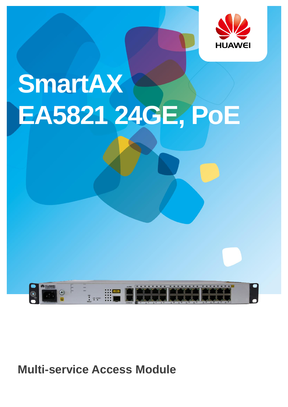

# SmartAX EA5821 24GE, PoE



**Multi-service Access Module**